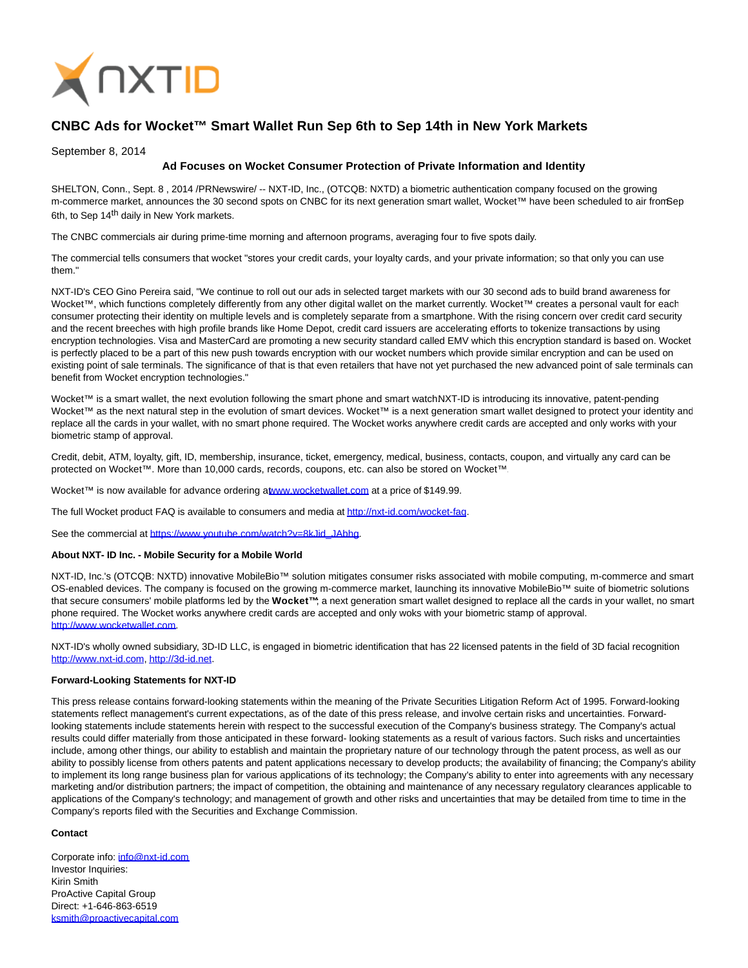

# **CNBC Ads for Wocket™ Smart Wallet Run Sep 6th to Sep 14th in New York Markets**

### September 8, 2014

# **Ad Focuses on Wocket Consumer Protection of Private Information and Identity**

SHELTON, Conn., Sept. 8 , 2014 /PRNewswire/ -- NXT-ID, Inc., (OTCQB: NXTD) a biometric authentication company focused on the growing m-commerce market, announces the 30 second spots on CNBC for its next generation smart wallet, Wocket™ have been scheduled to air from Sep 6th, to Sep 14<sup>th</sup> daily in New York markets.

The CNBC commercials air during prime-time morning and afternoon programs, averaging four to five spots daily.

The commercial tells consumers that wocket "stores your credit cards, your loyalty cards, and your private information; so that only you can use them."

NXT-ID's CEO Gino Pereira said, "We continue to roll out our ads in selected target markets with our 30 second ads to build brand awareness for Wocket™, which functions completely differently from any other digital wallet on the market currently. Wocket™ creates a personal vault for each consumer protecting their identity on multiple levels and is completely separate from a smartphone. With the rising concern over credit card security and the recent breeches with high profile brands like Home Depot, credit card issuers are accelerating efforts to tokenize transactions by using encryption technologies. Visa and MasterCard are promoting a new security standard called EMV which this encryption standard is based on. Wocket is perfectly placed to be a part of this new push towards encryption with our wocket numbers which provide similar encryption and can be used on existing point of sale terminals. The significance of that is that even retailers that have not yet purchased the new advanced point of sale terminals can benefit from Wocket encryption technologies."

Wocket™ is a smart wallet, the next evolution following the smart phone and smart watchNXT-ID is introducing its innovative, patent-pending Wocket™ as the next natural step in the evolution of smart devices. Wocket™ is a next generation smart wallet designed to protect your identity and replace all the cards in your wallet, with no smart phone required. The Wocket works anywhere credit cards are accepted and only works with your biometric stamp of approval.

Credit, debit, ATM, loyalty, gift, ID, membership, insurance, ticket, emergency, medical, business, contacts, coupon, and virtually any card can be protected on Wocket™. More than 10,000 cards, records, coupons, etc. can also be stored on Wocket™.

Wocket™ is now available for advance ordering [at www.wocketwallet.com a](http://www.wocketwallet.com/)t a price of \$149.99.

The full Wocket product FAQ is available to consumers and media a[t http://nxt-id.com/wocket-faq.](http://nxt-id.com/wocket-faq)

See the commercial at [https://www.youtube.com/watch?v=8kJid\\_JAbhg.](https://www.youtube.com/watch?v=8kJid_JAbhg)

#### **About NXT- ID Inc. - Mobile Security for a Mobile World**

NXT-ID, Inc.'s (OTCQB: NXTD) innovative MobileBio™ solution mitigates consumer risks associated with mobile computing, m-commerce and smart OS-enabled devices. The company is focused on the growing m-commerce market, launching its innovative MobileBio™ suite of biometric solutions that secure consumers' mobile platforms led by the **Wocket™**; a next generation smart wallet designed to replace all the cards in your wallet, no smart phone required. The Wocket works anywhere credit cards are accepted and only woks with your biometric stamp of approval. [http://www.wocketwallet.com.](http://www.wocketwallet.com/)

NXT-ID's wholly owned subsidiary, 3D-ID LLC, is engaged in biometric identification that has 22 licensed patents in the field of 3D facial recognition [http://www.nxt-id.com,](http://www.nxt-id.com/) [http://3d-id.net.](http://3d-id.net/)

#### **Forward-Looking Statements for NXT-ID**

This press release contains forward-looking statements within the meaning of the Private Securities Litigation Reform Act of 1995. Forward-looking statements reflect management's current expectations, as of the date of this press release, and involve certain risks and uncertainties. Forwardlooking statements include statements herein with respect to the successful execution of the Company's business strategy. The Company's actual results could differ materially from those anticipated in these forward- looking statements as a result of various factors. Such risks and uncertainties include, among other things, our ability to establish and maintain the proprietary nature of our technology through the patent process, as well as our ability to possibly license from others patents and patent applications necessary to develop products; the availability of financing; the Company's ability to implement its long range business plan for various applications of its technology; the Company's ability to enter into agreements with any necessary marketing and/or distribution partners; the impact of competition, the obtaining and maintenance of any necessary regulatory clearances applicable to applications of the Company's technology; and management of growth and other risks and uncertainties that may be detailed from time to time in the Company's reports filed with the Securities and Exchange Commission.

## **Contact**

Corporate info: [info@nxt-id.com](mailto:info@nxt-id.com) Investor Inquiries: Kirin Smith ProActive Capital Group Direct: +1-646-863-6519 [ksmith@proactivecapital.com](mailto:ksmith@proactivecapital.com)